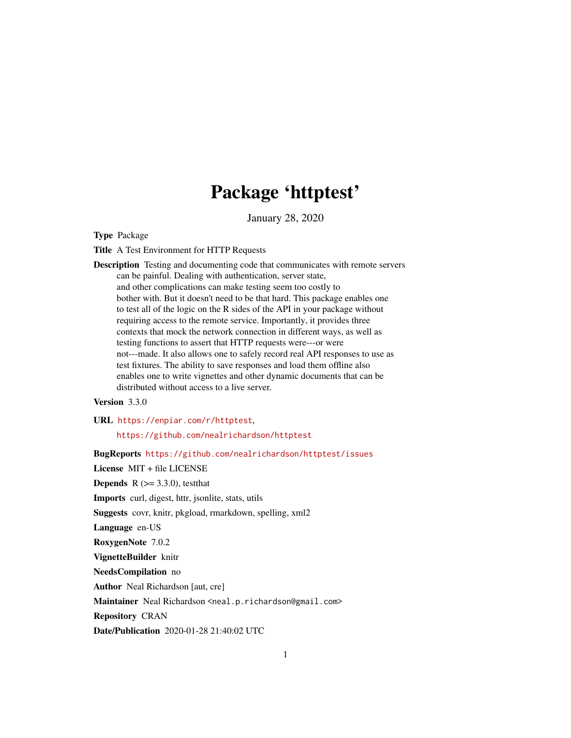# Package 'httptest'

January 28, 2020

<span id="page-0-0"></span>Type Package

Title A Test Environment for HTTP Requests

Description Testing and documenting code that communicates with remote servers can be painful. Dealing with authentication, server state, and other complications can make testing seem too costly to bother with. But it doesn't need to be that hard. This package enables one to test all of the logic on the R sides of the API in your package without requiring access to the remote service. Importantly, it provides three contexts that mock the network connection in different ways, as well as testing functions to assert that HTTP requests were---or were not---made. It also allows one to safely record real API responses to use as test fixtures. The ability to save responses and load them offline also enables one to write vignettes and other dynamic documents that can be distributed without access to a live server.

Version 3.3.0

URL <https://enpiar.com/r/httptest>, <https://github.com/nealrichardson/httptest>

BugReports <https://github.com/nealrichardson/httptest/issues>

License MIT + file LICENSE

**Depends** R  $(>= 3.3.0)$ , test that

Imports curl, digest, httr, jsonlite, stats, utils

Suggests covr, knitr, pkgload, rmarkdown, spelling, xml2

Language en-US

RoxygenNote 7.0.2

VignetteBuilder knitr

NeedsCompilation no

Author Neal Richardson [aut, cre]

Maintainer Neal Richardson <neal.p.richardson@gmail.com>

Repository CRAN

Date/Publication 2020-01-28 21:40:02 UTC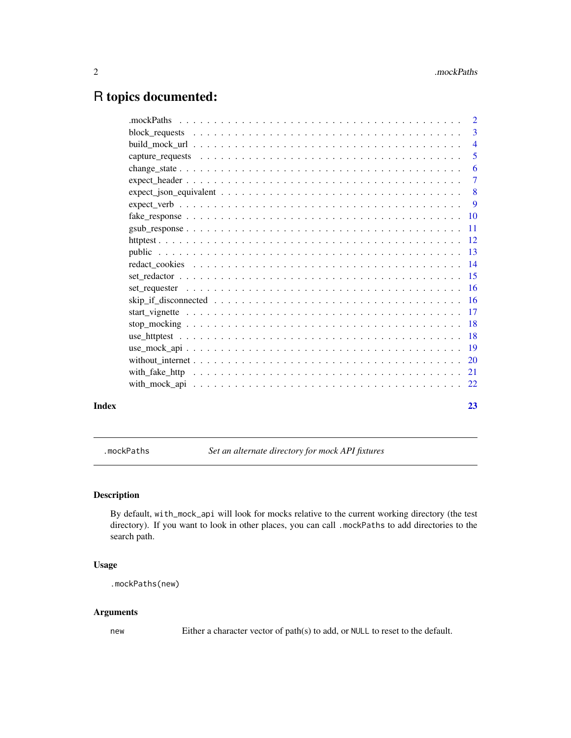# <span id="page-1-0"></span>R topics documented:

|       | 5              |
|-------|----------------|
|       | -6             |
|       | $\overline{7}$ |
|       |                |
|       |                |
|       |                |
|       |                |
|       |                |
|       |                |
|       |                |
|       |                |
|       |                |
|       |                |
|       |                |
|       |                |
|       |                |
|       |                |
|       |                |
|       |                |
|       |                |
| Index | 23             |
|       |                |

<span id="page-1-1"></span>.mockPaths *Set an alternate directory for mock API fixtures*

# Description

By default, with\_mock\_api will look for mocks relative to the current working directory (the test directory). If you want to look in other places, you can call .mockPaths to add directories to the search path.

# Usage

```
.mockPaths(new)
```
# Arguments

new Either a character vector of path(s) to add, or NULL to reset to the default.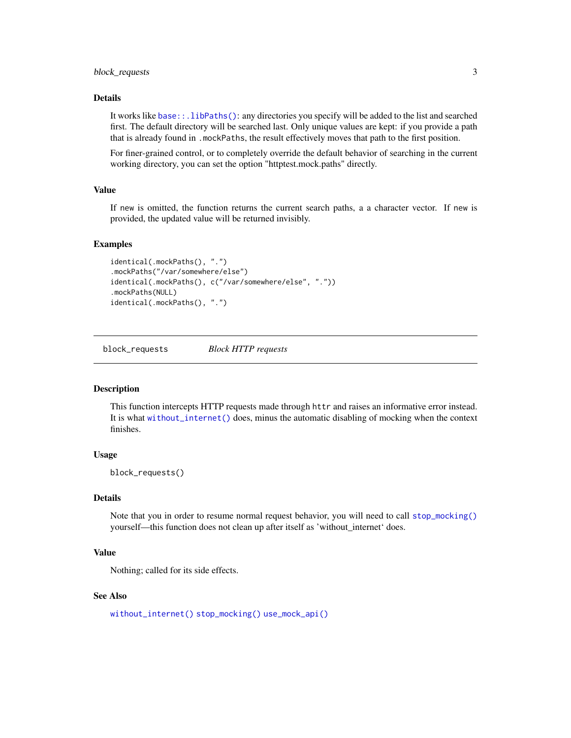# <span id="page-2-0"></span>Details

It works like [base::.libPaths\(\)](#page-0-0): any directories you specify will be added to the list and searched first. The default directory will be searched last. Only unique values are kept: if you provide a path that is already found in .mockPaths, the result effectively moves that path to the first position.

For finer-grained control, or to completely override the default behavior of searching in the current working directory, you can set the option "httptest.mock.paths" directly.

# Value

If new is omitted, the function returns the current search paths, a a character vector. If new is provided, the updated value will be returned invisibly.

#### Examples

```
identical(.mockPaths(), ".")
.mockPaths("/var/somewhere/else")
identical(.mockPaths(), c("/var/somewhere/else", "."))
.mockPaths(NULL)
identical(.mockPaths(), ".")
```
<span id="page-2-1"></span>block\_requests *Block HTTP requests*

# **Description**

This function intercepts HTTP requests made through httr and raises an informative error instead. It is what [without\\_internet\(\)](#page-19-1) does, minus the automatic disabling of mocking when the context finishes.

### Usage

block\_requests()

# Details

Note that you in order to resume normal request behavior, you will need to call [stop\\_mocking\(\)](#page-17-1) yourself—this function does not clean up after itself as 'without\_internet' does.

# Value

Nothing; called for its side effects.

# See Also

[without\\_internet\(\)](#page-19-1) [stop\\_mocking\(\)](#page-17-1) [use\\_mock\\_api\(\)](#page-18-1)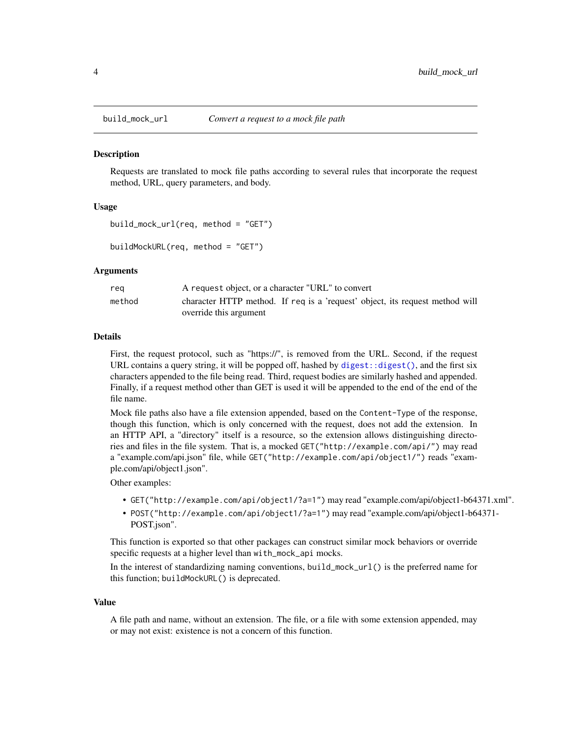<span id="page-3-1"></span><span id="page-3-0"></span>

Requests are translated to mock file paths according to several rules that incorporate the request method, URL, query parameters, and body.

#### Usage

```
build_mock_url(req, method = "GET")
```
buildMockURL(req, method = "GET")

# Arguments

| rea    | A request object, or a character "URL" to convert                            |
|--------|------------------------------------------------------------------------------|
| method | character HTTP method. If req is a 'request' object, its request method will |
|        | override this argument                                                       |

#### Details

First, the request protocol, such as "https://", is removed from the URL. Second, if the request URL contains a query string, it will be popped off, hashed by [digest::digest\(\)](#page-0-0), and the first six characters appended to the file being read. Third, request bodies are similarly hashed and appended. Finally, if a request method other than GET is used it will be appended to the end of the end of the file name.

Mock file paths also have a file extension appended, based on the Content-Type of the response, though this function, which is only concerned with the request, does not add the extension. In an HTTP API, a "directory" itself is a resource, so the extension allows distinguishing directories and files in the file system. That is, a mocked GET("http://example.com/api/") may read a "example.com/api.json" file, while GET("http://example.com/api/object1/") reads "example.com/api/object1.json".

Other examples:

- GET("http://example.com/api/object1/?a=1") may read "example.com/api/object1-b64371.xml".
- POST("http://example.com/api/object1/?a=1") may read "example.com/api/object1-b64371- POST.json".

This function is exported so that other packages can construct similar mock behaviors or override specific requests at a higher level than with\_mock\_api mocks.

In the interest of standardizing naming conventions, build\_mock\_url() is the preferred name for this function; buildMockURL() is deprecated.

#### Value

A file path and name, without an extension. The file, or a file with some extension appended, may or may not exist: existence is not a concern of this function.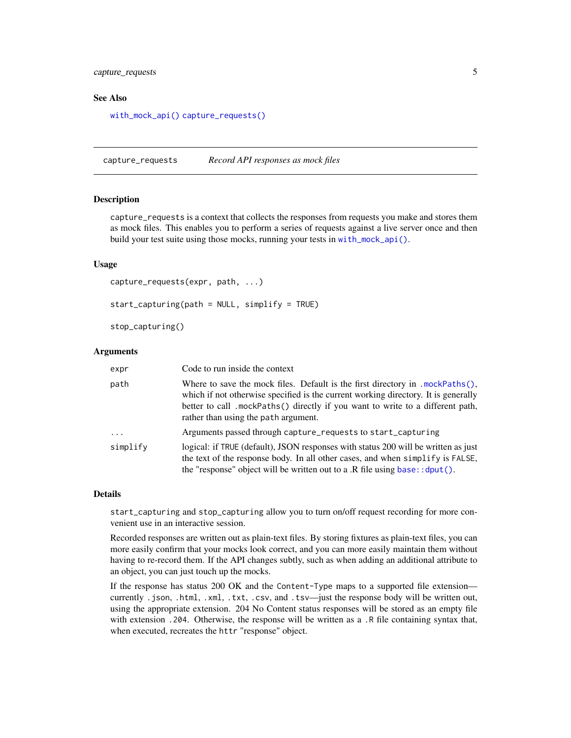# <span id="page-4-0"></span>capture\_requests 5

#### See Also

[with\\_mock\\_api\(\)](#page-21-1) [capture\\_requests\(\)](#page-4-1)

<span id="page-4-1"></span>capture\_requests *Record API responses as mock files*

# <span id="page-4-2"></span>Description

capture\_requests is a context that collects the responses from requests you make and stores them as mock files. This enables you to perform a series of requests against a live server once and then build your test suite using those mocks, running your tests in [with\\_mock\\_api\(\)](#page-21-1).

#### Usage

```
capture_requests(expr, path, ...)
start_capturing(path = NULL, simplify = TRUE)
stop_capturing()
```
#### Arguments

| expr       | Code to run inside the context                                                                                                                                                                                                                                                                            |
|------------|-----------------------------------------------------------------------------------------------------------------------------------------------------------------------------------------------------------------------------------------------------------------------------------------------------------|
| path       | Where to save the mock files. Default is the first directory in ${.}$ mockPaths ${(.)}$ ,<br>which if not otherwise specified is the current working directory. It is generally<br>better to call .mockPaths() directly if you want to write to a different path,<br>rather than using the path argument. |
| $\ddots$ . | Arguments passed through capture_requests to start_capturing                                                                                                                                                                                                                                              |
| simplify   | logical: if TRUE (default), JSON responses with status 200 will be written as just<br>the text of the response body. In all other cases, and when simplify is FALSE,<br>the "response" object will be written out to a .R file using $base$ : : dput().                                                   |

#### Details

start\_capturing and stop\_capturing allow you to turn on/off request recording for more convenient use in an interactive session.

Recorded responses are written out as plain-text files. By storing fixtures as plain-text files, you can more easily confirm that your mocks look correct, and you can more easily maintain them without having to re-record them. If the API changes subtly, such as when adding an additional attribute to an object, you can just touch up the mocks.

If the response has status 200 OK and the Content-Type maps to a supported file extension currently .json, .html, .xml, .txt, .csv, and .tsv—just the response body will be written out, using the appropriate extension. 204 No Content status responses will be stored as an empty file with extension .204. Otherwise, the response will be written as a .R file containing syntax that, when executed, recreates the httr "response" object.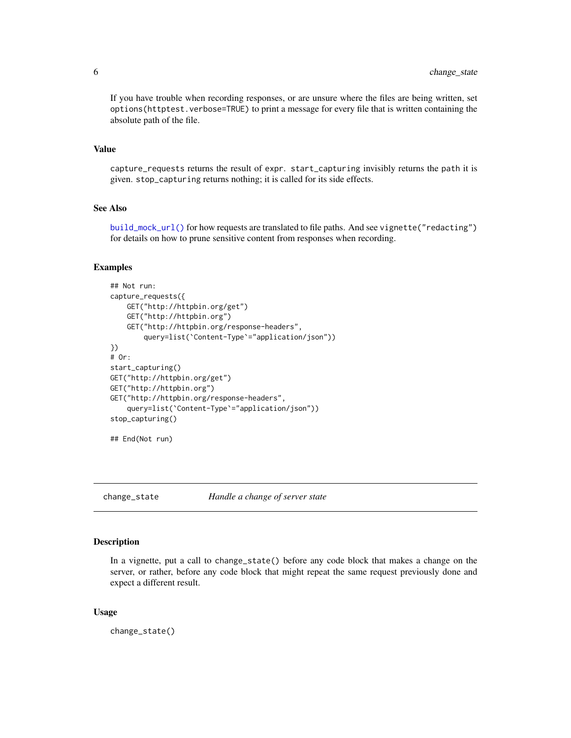<span id="page-5-0"></span>If you have trouble when recording responses, or are unsure where the files are being written, set options(httptest.verbose=TRUE) to print a message for every file that is written containing the absolute path of the file.

# Value

capture\_requests returns the result of expr. start\_capturing invisibly returns the path it is given. stop\_capturing returns nothing; it is called for its side effects.

#### See Also

[build\\_mock\\_url\(\)](#page-3-1) for how requests are translated to file paths. And see vignette("redacting") for details on how to prune sensitive content from responses when recording.

#### Examples

```
## Not run:
capture_requests({
   GET("http://httpbin.org/get")
    GET("http://httpbin.org")
   GET("http://httpbin.org/response-headers",
        query=list(`Content-Type`="application/json"))
})
# Or:
start_capturing()
GET("http://httpbin.org/get")
GET("http://httpbin.org")
GET("http://httpbin.org/response-headers",
    query=list(`Content-Type`="application/json"))
stop_capturing()
## End(Not run)
```
<span id="page-5-1"></span>change\_state *Handle a change of server state*

#### Description

In a vignette, put a call to change\_state() before any code block that makes a change on the server, or rather, before any code block that might repeat the same request previously done and expect a different result.

#### Usage

change\_state()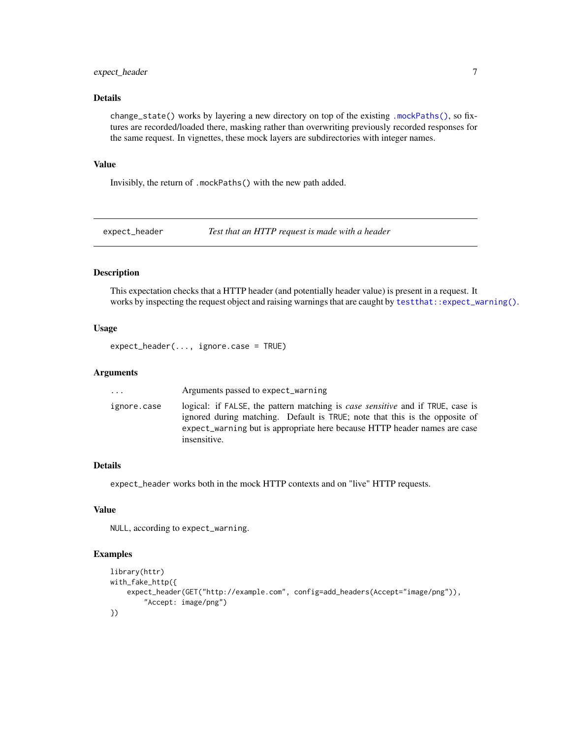# <span id="page-6-0"></span>expect\_header 7

# Details

change\_state() works by layering a new directory on top of the existing [.mockPaths\(\)](#page-1-1), so fixtures are recorded/loaded there, masking rather than overwriting previously recorded responses for the same request. In vignettes, these mock layers are subdirectories with integer names.

# Value

Invisibly, the return of .mockPaths() with the new path added.

<span id="page-6-1"></span>expect\_header *Test that an HTTP request is made with a header*

# Description

This expectation checks that a HTTP header (and potentially header value) is present in a request. It works by inspecting the request object and raising warnings that are caught by [testthat::expect\\_warning\(\)](#page-0-0).

# Usage

expect\_header(..., ignore.case = TRUE)

# Arguments

| $\ddots$    | Arguments passed to expect_warning                                                                                                                                                                                                                                |
|-------------|-------------------------------------------------------------------------------------------------------------------------------------------------------------------------------------------------------------------------------------------------------------------|
| ignore.case | logical: if FALSE, the pattern matching is <i>case sensitive</i> and if TRUE, case is<br>ignored during matching. Default is TRUE; note that this is the opposite of<br>expect_warning but is appropriate here because HTTP header names are case<br>insensitive. |

# Details

expect\_header works both in the mock HTTP contexts and on "live" HTTP requests.

# Value

NULL, according to expect\_warning.

# Examples

```
library(httr)
with_fake_http({
    expect_header(GET("http://example.com", config=add_headers(Accept="image/png")),
        "Accept: image/png")
})
```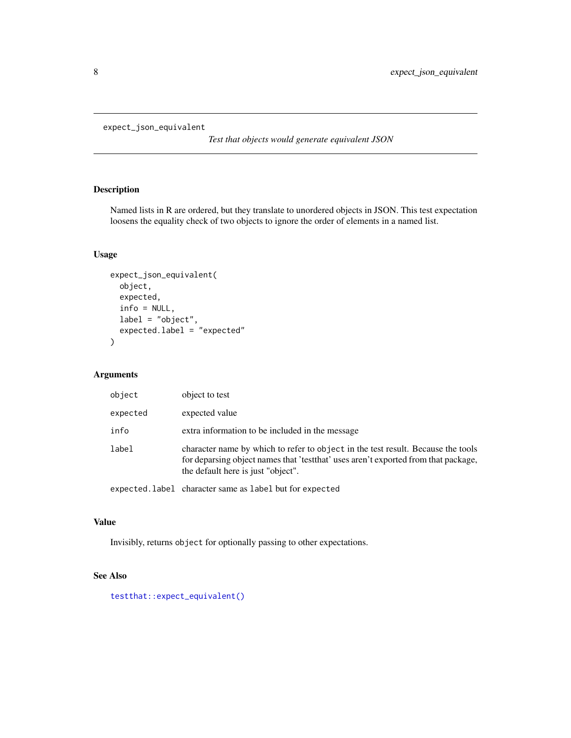```
expect_json_equivalent
```
*Test that objects would generate equivalent JSON*

# Description

Named lists in R are ordered, but they translate to unordered objects in JSON. This test expectation loosens the equality check of two objects to ignore the order of elements in a named list.

# Usage

```
expect_json_equivalent(
  object,
  expected,
  info = NULL,
  label = "object",
  expected.label = "expected"
)
```
# Arguments

| object   | object to test                                                                                                                                                                                                |
|----------|---------------------------------------------------------------------------------------------------------------------------------------------------------------------------------------------------------------|
| expected | expected value                                                                                                                                                                                                |
| info     | extra information to be included in the message                                                                                                                                                               |
| label    | character name by which to refer to object in the test result. Because the tools<br>for deparsing object names that 'test that' uses aren't exported from that package,<br>the default here is just "object". |
|          |                                                                                                                                                                                                               |

expected.label character same as label but for expected

# Value

Invisibly, returns object for optionally passing to other expectations.

# See Also

[testthat::expect\\_equivalent\(\)](#page-0-0)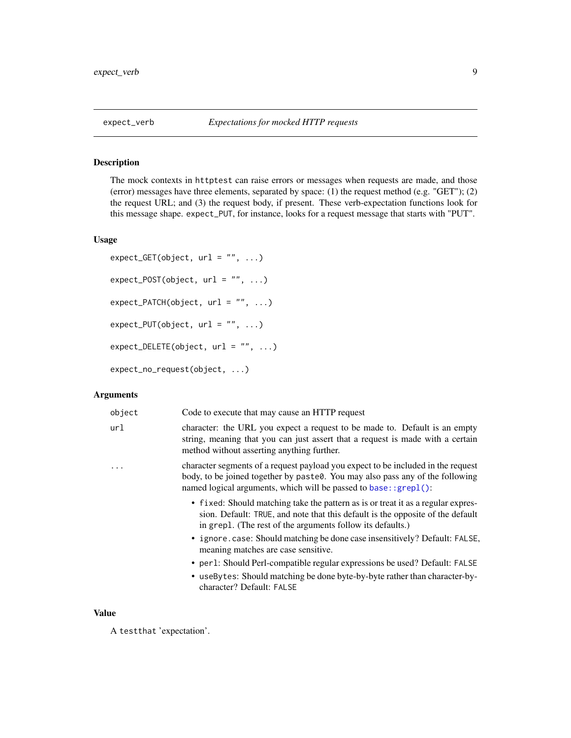<span id="page-8-1"></span><span id="page-8-0"></span>The mock contexts in httptest can raise errors or messages when requests are made, and those (error) messages have three elements, separated by space: (1) the request method (e.g. "GET"); (2) the request URL; and (3) the request body, if present. These verb-expectation functions look for this message shape. expect\_PUT, for instance, looks for a request message that starts with "PUT".

#### Usage

```
expect_GET(object, url = "", ...)expect_POST(object, url = "", ...)expect_PATCH(object, url = "", ...)
expect_PUT(object, url = "", ...)expect\_DELETE(object, url = "", ...)expect_no_request(object, ...)
```
# Arguments

| object | Code to execute that may cause an HTTP request                                                                                                                                                                                         |
|--------|----------------------------------------------------------------------------------------------------------------------------------------------------------------------------------------------------------------------------------------|
| url    | character: the URL you expect a request to be made to. Default is an empty<br>string, meaning that you can just assert that a request is made with a certain<br>method without asserting anything further.                             |
| .      | character segments of a request payload you expect to be included in the request<br>body, to be joined together by paste0. You may also pass any of the following<br>named logical arguments, which will be passed to base: : grepl(): |
|        | • fixed: Should matching take the pattern as is or treat it as a regular expres-<br>sion. Default: TRUE, and note that this default is the opposite of the default<br>in grepl. (The rest of the arguments follow its defaults.)       |
|        | • ignore.case: Should matching be done case insensitively? Default: FALSE,<br>meaning matches are case sensitive.                                                                                                                      |
|        | • per 1: Should Perl-compatible regular expressions be used? Default: FALSE                                                                                                                                                            |
|        | • useBytes: Should matching be done byte-by-byte rather than character-by-<br>character? Default: FALSE                                                                                                                                |
|        |                                                                                                                                                                                                                                        |

# Value

A testthat 'expectation'.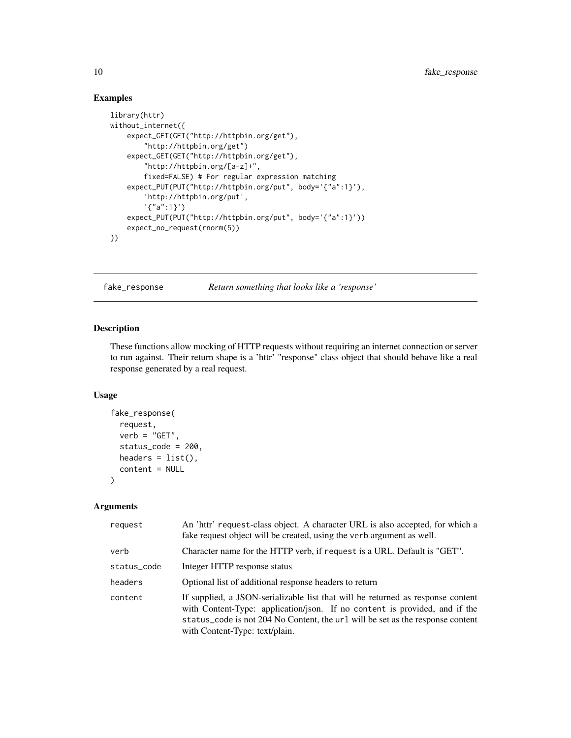# Examples

```
library(httr)
without_internet({
    expect_GET(GET("http://httpbin.org/get"),
        "http://httpbin.org/get")
   expect_GET(GET("http://httpbin.org/get"),
        "http://httpbin.org/[a-z]+",
        fixed=FALSE) # For regular expression matching
    expect_PUT(PUT("http://httpbin.org/put", body='{"a":1}'),
        'http://httpbin.org/put',
        '{"a":1}')
    expect_PUT(PUT("http://httpbin.org/put", body='{"a":1}'))
    expect_no_request(rnorm(5))
})
```
fake\_response *Return something that looks like a 'response'*

# Description

These functions allow mocking of HTTP requests without requiring an internet connection or server to run against. Their return shape is a 'httr' "response" class object that should behave like a real response generated by a real request.

# Usage

```
fake_response(
  request,
  verb = "GET",status_code = 200,
  headers = list(),
  content = NULL
\lambda
```
# Arguments

| request     | An 'httr' request-class object. A character URL is also accepted, for which a<br>fake request object will be created, using the verb argument as well.                                                                                                                            |
|-------------|-----------------------------------------------------------------------------------------------------------------------------------------------------------------------------------------------------------------------------------------------------------------------------------|
| verb        | Character name for the HTTP verb, if request is a URL. Default is "GET".                                                                                                                                                                                                          |
| status_code | Integer HTTP response status                                                                                                                                                                                                                                                      |
| headers     | Optional list of additional response headers to return                                                                                                                                                                                                                            |
| content     | If supplied, a JSON-serializable list that will be returned as response content<br>with Content-Type: application/json. If no content is provided, and if the<br>status_code is not 204 No Content, the url will be set as the response content<br>with Content-Type: text/plain. |

<span id="page-9-0"></span>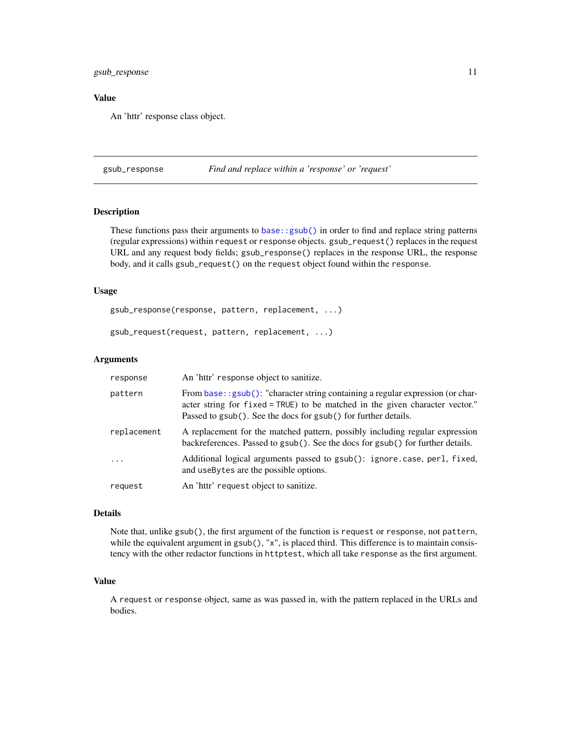# <span id="page-10-0"></span>gsub\_response 11

# Value

An 'httr' response class object.

<span id="page-10-1"></span>gsub\_response *Find and replace within a 'response' or 'request'*

# Description

These functions pass their arguments to [base::gsub\(\)](#page-0-0) in order to find and replace string patterns (regular expressions) within request or response objects. gsub\_request() replaces in the request URL and any request body fields; gsub\_response() replaces in the response URL, the response body, and it calls gsub\_request() on the request object found within the response.

# Usage

gsub\_response(response, pattern, replacement, ...)

gsub\_request(request, pattern, replacement, ...)

#### Arguments

| response    | An 'httr' response object to sanitize.                                                                                                                                                                                                       |
|-------------|----------------------------------------------------------------------------------------------------------------------------------------------------------------------------------------------------------------------------------------------|
| pattern     | From base: : $\text{gsub}()$ : "character string containing a regular expression (or char-<br>acter string for fixed = TRUE) to be matched in the given character vector."<br>Passed to gsub(). See the docs for gsub() for further details. |
| replacement | A replacement for the matched pattern, possibly including regular expression<br>backreferences. Passed to gsub(). See the docs for gsub() for further details.                                                                               |
| $\cdots$    | Additional logical arguments passed to gsub(): ignore.case, perl, fixed,<br>and useBytes are the possible options.                                                                                                                           |
| request     | An 'httr' request object to sanitize.                                                                                                                                                                                                        |

# Details

Note that, unlike gsub(), the first argument of the function is request or response, not pattern, while the equivalent argument in  $g\text{sub}($ ), "x", is placed third. This difference is to maintain consistency with the other redactor functions in httptest, which all take response as the first argument.

# Value

A request or response object, same as was passed in, with the pattern replaced in the URLs and bodies.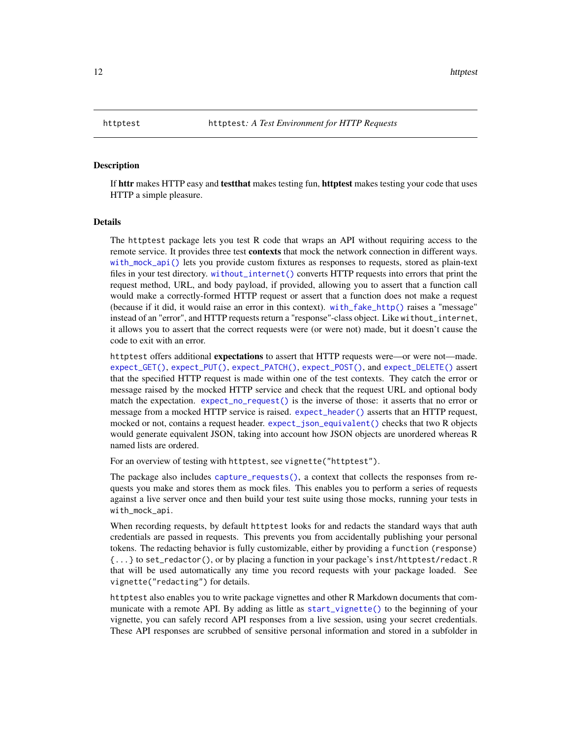<span id="page-11-0"></span>If httr makes HTTP easy and testthat makes testing fun, httptest makes testing your code that uses HTTP a simple pleasure.

# Details

The httptest package lets you test R code that wraps an API without requiring access to the remote service. It provides three test **contexts** that mock the network connection in different ways. [with\\_mock\\_api\(\)](#page-21-1) lets you provide custom fixtures as responses to requests, stored as plain-text files in your test directory. [without\\_internet\(\)](#page-19-1) converts HTTP requests into errors that print the request method, URL, and body payload, if provided, allowing you to assert that a function call would make a correctly-formed HTTP request or assert that a function does not make a request (because if it did, it would raise an error in this context). [with\\_fake\\_http\(\)](#page-20-1) raises a "message" instead of an "error", and HTTP requests return a "response"-class object. Like without\_internet, it allows you to assert that the correct requests were (or were not) made, but it doesn't cause the code to exit with an error.

httptest offers additional **expectations** to assert that HTTP requests were—or were not—made. [expect\\_GET\(\)](#page-8-1), [expect\\_PUT\(\)](#page-8-1), [expect\\_PATCH\(\)](#page-8-1), [expect\\_POST\(\)](#page-8-1), and [expect\\_DELETE\(\)](#page-8-1) assert that the specified HTTP request is made within one of the test contexts. They catch the error or message raised by the mocked HTTP service and check that the request URL and optional body match the expectation. [expect\\_no\\_request\(\)](#page-8-1) is the inverse of those: it asserts that no error or message from a mocked HTTP service is raised. [expect\\_header\(\)](#page-6-1) asserts that an HTTP request, mocked or not, contains a request header. [expect\\_json\\_equivalent\(\)](#page-7-1) checks that two R objects would generate equivalent JSON, taking into account how JSON objects are unordered whereas R named lists are ordered.

For an overview of testing with httptest, see vignette("httptest").

The package also includes [capture\\_requests\(\)](#page-4-1), a context that collects the responses from requests you make and stores them as mock files. This enables you to perform a series of requests against a live server once and then build your test suite using those mocks, running your tests in with\_mock\_api.

When recording requests, by default httptest looks for and redacts the standard ways that auth credentials are passed in requests. This prevents you from accidentally publishing your personal tokens. The redacting behavior is fully customizable, either by providing a function (response) {...} to set\_redactor(), or by placing a function in your package's inst/httptest/redact.R that will be used automatically any time you record requests with your package loaded. See vignette("redacting") for details.

httptest also enables you to write package vignettes and other R Markdown documents that communicate with a remote API. By adding as little as [start\\_vignette\(\)](#page-16-1) to the beginning of your vignette, you can safely record API responses from a live session, using your secret credentials. These API responses are scrubbed of sensitive personal information and stored in a subfolder in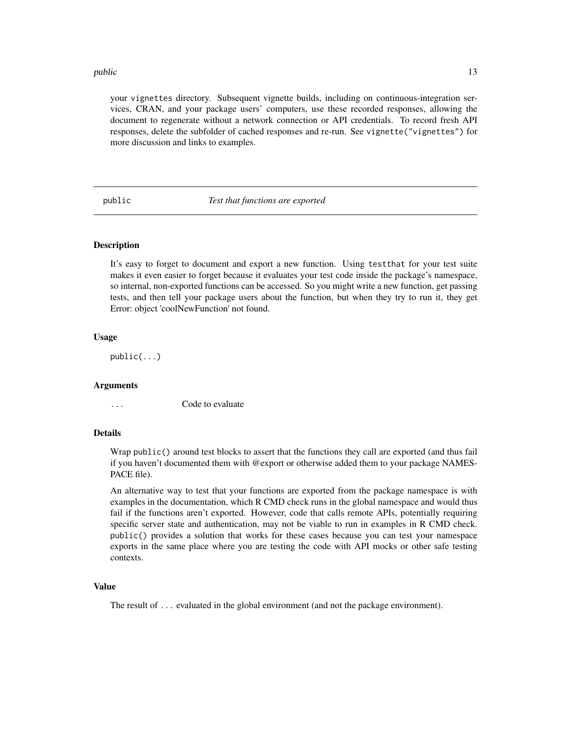#### <span id="page-12-0"></span>public that is a set of the set of the set of the set of the set of the set of the set of the set of the set of the set of the set of the set of the set of the set of the set of the set of the set of the set of the set of

your vignettes directory. Subsequent vignette builds, including on continuous-integration services, CRAN, and your package users' computers, use these recorded responses, allowing the document to regenerate without a network connection or API credentials. To record fresh API responses, delete the subfolder of cached responses and re-run. See vignette("vignettes") for more discussion and links to examples.

public *Test that functions are exported*

#### **Description**

It's easy to forget to document and export a new function. Using testthat for your test suite makes it even easier to forget because it evaluates your test code inside the package's namespace, so internal, non-exported functions can be accessed. So you might write a new function, get passing tests, and then tell your package users about the function, but when they try to run it, they get Error: object 'coolNewFunction' not found.

# Usage

public(...)

#### Arguments

... Code to evaluate

#### Details

Wrap public() around test blocks to assert that the functions they call are exported (and thus fail if you haven't documented them with @export or otherwise added them to your package NAMES-PACE file).

An alternative way to test that your functions are exported from the package namespace is with examples in the documentation, which R CMD check runs in the global namespace and would thus fail if the functions aren't exported. However, code that calls remote APIs, potentially requiring specific server state and authentication, may not be viable to run in examples in R CMD check. public() provides a solution that works for these cases because you can test your namespace exports in the same place where you are testing the code with API mocks or other safe testing contexts.

#### Value

The result of ... evaluated in the global environment (and not the package environment).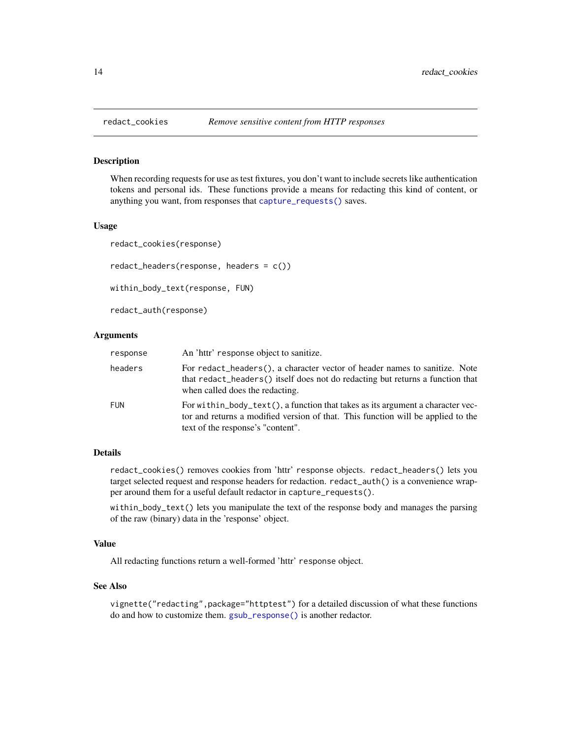<span id="page-13-1"></span><span id="page-13-0"></span>

When recording requests for use as test fixtures, you don't want to include secrets like authentication tokens and personal ids. These functions provide a means for redacting this kind of content, or anything you want, from responses that [capture\\_requests\(\)](#page-4-1) saves.

#### Usage

redact\_cookies(response)

```
redact_headers(response, headers = c())
```
within\_body\_text(response, FUN)

redact\_auth(response)

#### Arguments

| response   | An 'httr' response object to sanitize.                                                                                                                                                                  |
|------------|---------------------------------------------------------------------------------------------------------------------------------------------------------------------------------------------------------|
| headers    | For redact_headers(), a character vector of header names to sanitize. Note<br>that redact_headers() itself does not do redacting but returns a function that<br>when called does the redacting.         |
| <b>FUN</b> | For within body text(), a function that takes as its argument a character vec-<br>tor and returns a modified version of that. This function will be applied to the<br>text of the response's "content". |

#### Details

redact\_cookies() removes cookies from 'httr' response objects. redact\_headers() lets you target selected request and response headers for redaction. redact\_auth() is a convenience wrapper around them for a useful default redactor in capture\_requests().

within\_body\_text() lets you manipulate the text of the response body and manages the parsing of the raw (binary) data in the 'response' object.

#### Value

All redacting functions return a well-formed 'httr' response object.

#### See Also

vignette("redacting",package="httptest") for a detailed discussion of what these functions do and how to customize them. [gsub\\_response\(\)](#page-10-1) is another redactor.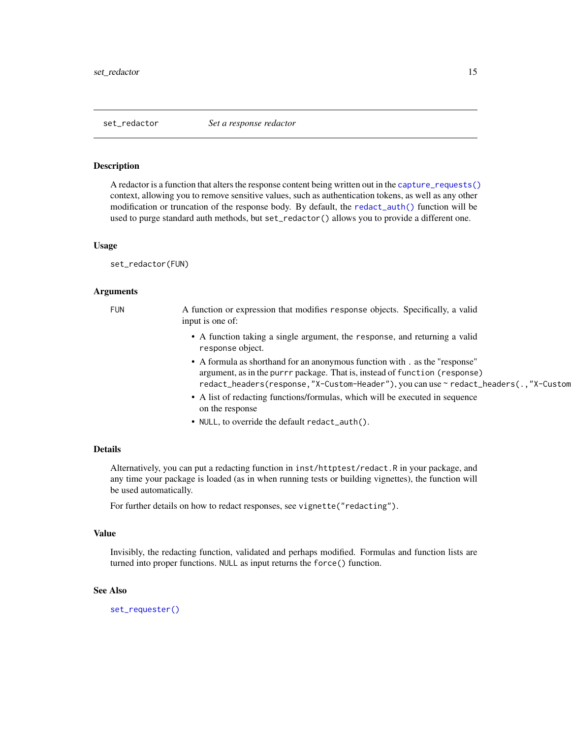<span id="page-14-1"></span><span id="page-14-0"></span>

A redactor is a function that alters the response content being written out in the [capture\\_requests\(\)](#page-4-1) context, allowing you to remove sensitive values, such as authentication tokens, as well as any other modification or truncation of the response body. By default, the [redact\\_auth\(\)](#page-13-1) function will be used to purge standard auth methods, but set\_redactor() allows you to provide a different one.

#### Usage

set\_redactor(FUN)

#### Arguments

FUN A function or expression that modifies response objects. Specifically, a valid input is one of:

- A function taking a single argument, the response, and returning a valid response object.
- A formula as shorthand for an anonymous function with . as the "response" argument, as in the purrr package. That is, instead of function (response) redact\_headers(response,"X-Custom-Header"), you can use ~ redact\_headers(.,"X-Custom
- A list of redacting functions/formulas, which will be executed in sequence on the response
- NULL, to override the default redact\_auth().

#### Details

Alternatively, you can put a redacting function in inst/httptest/redact.R in your package, and any time your package is loaded (as in when running tests or building vignettes), the function will be used automatically.

For further details on how to redact responses, see vignette("redacting").

#### Value

Invisibly, the redacting function, validated and perhaps modified. Formulas and function lists are turned into proper functions. NULL as input returns the force() function.

#### See Also

[set\\_requester\(\)](#page-15-1)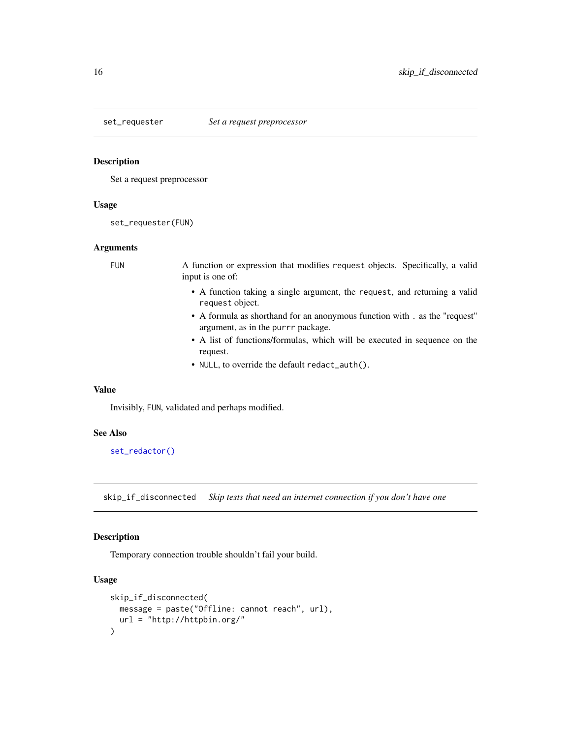<span id="page-15-1"></span><span id="page-15-0"></span>

Set a request preprocessor

# Usage

set\_requester(FUN)

#### Arguments

FUN A function or expression that modifies request objects. Specifically, a valid input is one of:

- A function taking a single argument, the request, and returning a valid request object.
- A formula as shorthand for an anonymous function with . as the "request" argument, as in the purrr package.
- A list of functions/formulas, which will be executed in sequence on the request.
- NULL, to override the default redact\_auth().

# Value

Invisibly, FUN, validated and perhaps modified.

#### See Also

[set\\_redactor\(\)](#page-14-1)

skip\_if\_disconnected *Skip tests that need an internet connection if you don't have one*

### Description

Temporary connection trouble shouldn't fail your build.

#### Usage

```
skip_if_disconnected(
 message = paste("Offline: cannot reach", url),
 url = "http://httpbin.org/"
)
```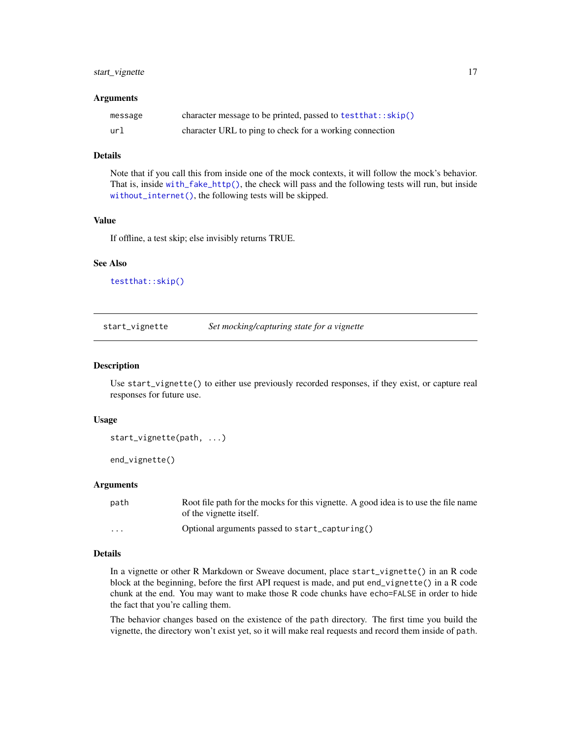# <span id="page-16-0"></span>start\_vignette 17

#### Arguments

| message | character message to be printed, passed to $testthat::skip()$ |
|---------|---------------------------------------------------------------|
| url     | character URL to ping to check for a working connection       |

# Details

Note that if you call this from inside one of the mock contexts, it will follow the mock's behavior. That is, inside [with\\_fake\\_http\(\)](#page-20-1), the check will pass and the following tests will run, but inside [without\\_internet\(\)](#page-19-1), the following tests will be skipped.

# Value

If offline, a test skip; else invisibly returns TRUE.

#### See Also

[testthat::skip\(\)](#page-0-0)

<span id="page-16-1"></span>start\_vignette *Set mocking/capturing state for a vignette*

#### Description

Use start\_vignette() to either use previously recorded responses, if they exist, or capture real responses for future use.

### Usage

```
start_vignette(path, ...)
```

```
end_vignette()
```
# Arguments

| path                    | Root file path for the mocks for this vignette. A good idea is to use the file name<br>of the vignette itself. |
|-------------------------|----------------------------------------------------------------------------------------------------------------|
| $\cdot$ $\cdot$ $\cdot$ | Optional arguments passed to start_capturing()                                                                 |

# Details

In a vignette or other R Markdown or Sweave document, place start\_vignette() in an R code block at the beginning, before the first API request is made, and put end\_vignette() in a R code chunk at the end. You may want to make those R code chunks have echo=FALSE in order to hide the fact that you're calling them.

The behavior changes based on the existence of the path directory. The first time you build the vignette, the directory won't exist yet, so it will make real requests and record them inside of path.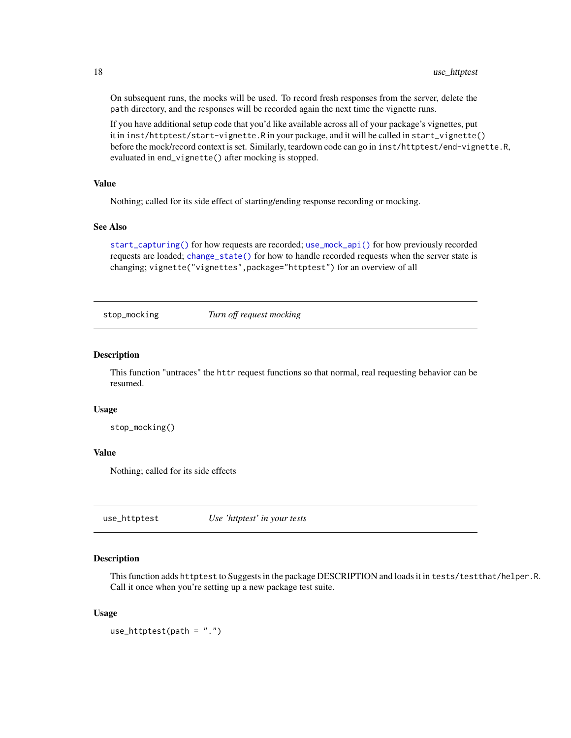On subsequent runs, the mocks will be used. To record fresh responses from the server, delete the path directory, and the responses will be recorded again the next time the vignette runs.

If you have additional setup code that you'd like available across all of your package's vignettes, put it in inst/httptest/start-vignette.R in your package, and it will be called in start\_vignette() before the mock/record context is set. Similarly, teardown code can go in inst/httptest/end-vignette.R, evaluated in end\_vignette() after mocking is stopped.

# Value

Nothing; called for its side effect of starting/ending response recording or mocking.

# See Also

[start\\_capturing\(\)](#page-4-2) for how requests are recorded; [use\\_mock\\_api\(\)](#page-18-1) for how previously recorded requests are loaded; [change\\_state\(\)](#page-5-1) for how to handle recorded requests when the server state is changing; vignette("vignettes",package="httptest") for an overview of all

<span id="page-17-1"></span>stop\_mocking *Turn off request mocking*

#### Description

This function "untraces" the httr request functions so that normal, real requesting behavior can be resumed.

# Usage

```
stop_mocking()
```
# Value

Nothing; called for its side effects

use\_httptest *Use 'httptest' in your tests*

# Description

This function adds httptest to Suggests in the package DESCRIPTION and loads it in tests/testthat/helper.R. Call it once when you're setting up a new package test suite.

#### Usage

use\_httptest(path = ".")

<span id="page-17-0"></span>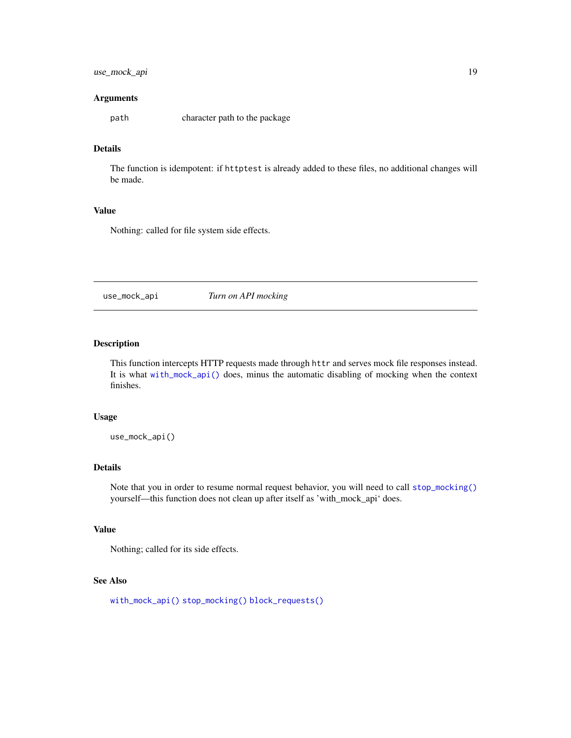# <span id="page-18-0"></span>use\_mock\_api 19

#### Arguments

path character path to the package

# Details

The function is idempotent: if httptest is already added to these files, no additional changes will be made.

# Value

Nothing: called for file system side effects.

<span id="page-18-1"></span>use\_mock\_api *Turn on API mocking*

# Description

This function intercepts HTTP requests made through httr and serves mock file responses instead. It is what [with\\_mock\\_api\(\)](#page-21-1) does, minus the automatic disabling of mocking when the context finishes.

# Usage

use\_mock\_api()

### Details

Note that you in order to resume normal request behavior, you will need to call [stop\\_mocking\(\)](#page-17-1) yourself—this function does not clean up after itself as 'with\_mock\_api' does.

# Value

Nothing; called for its side effects.

### See Also

[with\\_mock\\_api\(\)](#page-21-1) [stop\\_mocking\(\)](#page-17-1) [block\\_requests\(\)](#page-2-1)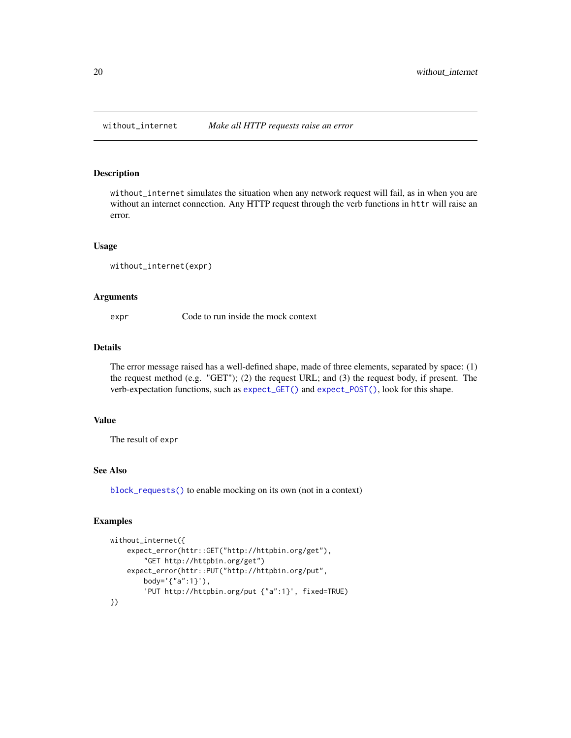<span id="page-19-1"></span><span id="page-19-0"></span>

without\_internet simulates the situation when any network request will fail, as in when you are without an internet connection. Any HTTP request through the verb functions in httr will raise an error.

### Usage

```
without_internet(expr)
```
#### Arguments

expr Code to run inside the mock context

#### Details

The error message raised has a well-defined shape, made of three elements, separated by space: (1) the request method (e.g. "GET"); (2) the request URL; and (3) the request body, if present. The verb-expectation functions, such as [expect\\_GET\(\)](#page-8-1) and [expect\\_POST\(\)](#page-8-1), look for this shape.

### Value

The result of expr

# See Also

[block\\_requests\(\)](#page-2-1) to enable mocking on its own (not in a context)

#### Examples

```
without_internet({
    expect_error(httr::GET("http://httpbin.org/get"),
       "GET http://httpbin.org/get")
   expect_error(httr::PUT("http://httpbin.org/put",
       body='{"a":1}'),
        'PUT http://httpbin.org/put {"a":1}', fixed=TRUE)
})
```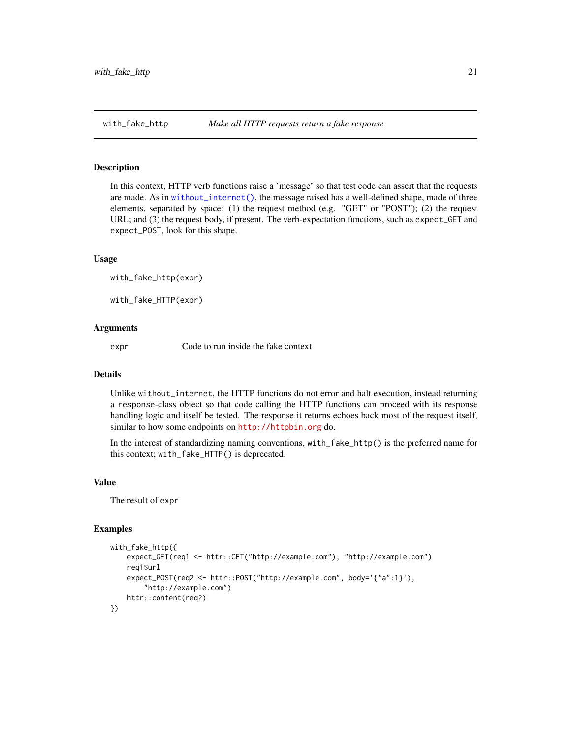<span id="page-20-1"></span><span id="page-20-0"></span>In this context, HTTP verb functions raise a 'message' so that test code can assert that the requests are made. As in [without\\_internet\(\)](#page-19-1), the message raised has a well-defined shape, made of three elements, separated by space: (1) the request method (e.g. "GET" or "POST"); (2) the request URL; and (3) the request body, if present. The verb-expectation functions, such as expect\_GET and expect\_POST, look for this shape.

### Usage

with\_fake\_http(expr)

with\_fake\_HTTP(expr)

### Arguments

expr Code to run inside the fake context

### Details

Unlike without\_internet, the HTTP functions do not error and halt execution, instead returning a response-class object so that code calling the HTTP functions can proceed with its response handling logic and itself be tested. The response it returns echoes back most of the request itself, similar to how some endpoints on <http://httpbin.org> do.

In the interest of standardizing naming conventions, with\_fake\_http() is the preferred name for this context; with\_fake\_HTTP() is deprecated.

#### Value

The result of expr

#### Examples

```
with_fake_http({
    expect_GET(req1 <- httr::GET("http://example.com"), "http://example.com")
    req1$url
    expect_POST(req2 <- httr::POST("http://example.com", body='{"a":1}'),
        "http://example.com")
   httr::content(req2)
})
```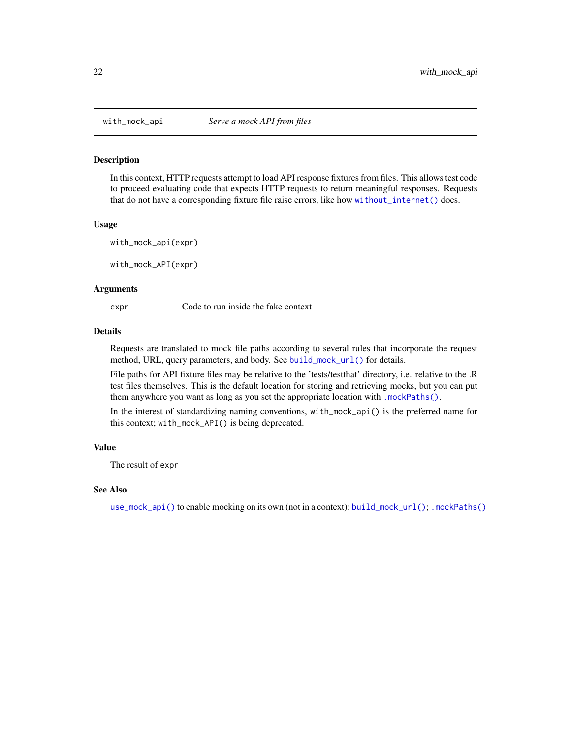<span id="page-21-1"></span><span id="page-21-0"></span>

In this context, HTTP requests attempt to load API response fixtures from files. This allows test code to proceed evaluating code that expects HTTP requests to return meaningful responses. Requests that do not have a corresponding fixture file raise errors, like how [without\\_internet\(\)](#page-19-1) does.

### Usage

with\_mock\_api(expr)

with\_mock\_API(expr)

#### Arguments

expr Code to run inside the fake context

#### Details

Requests are translated to mock file paths according to several rules that incorporate the request method, URL, query parameters, and body. See [build\\_mock\\_url\(\)](#page-3-1) for details.

File paths for API fixture files may be relative to the 'tests/testthat' directory, i.e. relative to the .R test files themselves. This is the default location for storing and retrieving mocks, but you can put them anywhere you want as long as you set the appropriate location with [.mockPaths\(\)](#page-1-1).

In the interest of standardizing naming conventions, with\_mock\_api() is the preferred name for this context; with\_mock\_API() is being deprecated.

#### Value

The result of expr

#### See Also

[use\\_mock\\_api\(\)](#page-18-1) to enable mocking on its own (not in a context); [build\\_mock\\_url\(\)](#page-3-1); [.mockPaths\(\)](#page-1-1)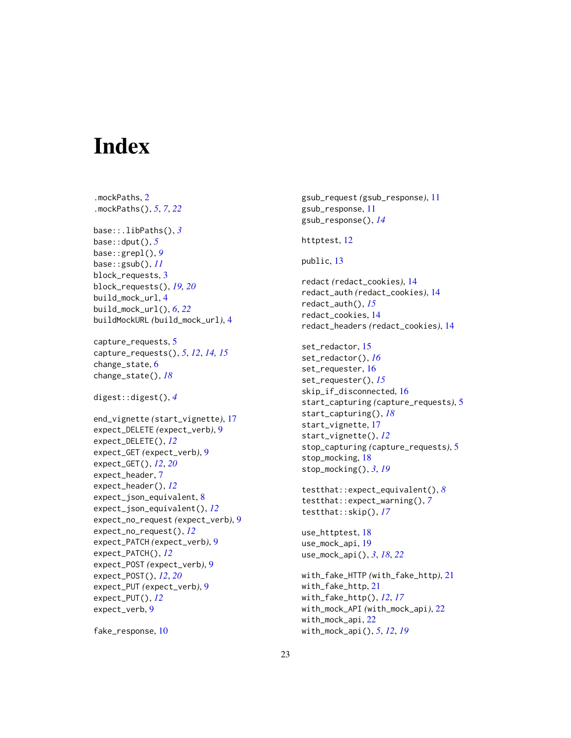# <span id="page-22-0"></span>**Index**

```
.mockPaths, 2
.mockPaths(), 5, 7, 22
base::.libPaths(), 3
base::dput(), 5
base::grepl(), 9
base::gsub(), 11
block_requests, 3
block_requests(), 19, 20
build_mock_url, 4
build_mock_url(), 6, 22
buildMockURL (build_mock_url), 4
capture_requests, 5
capture_requests(), 5, 12, 14, 15
change_state, 6
change_state(), 18
digest::digest(), 4
end_vignette (start_vignette), 17
expect_DELETE (expect_verb), 9
expect_DELETE(), 12
expect_GET (expect_verb), 9
expect_GET(), 12, 20
expect_header, 7
expect_header(), 12
expect_json_equivalent, 8
expect_json_equivalent(), 12
expect_no_request (expect_verb), 9
expect_no_request(), 12
expect_PATCH (expect_verb), 9
expect_PATCH(), 12
expect_POST (expect_verb), 9
expect_POST(), 12, 20
expect_PUT (expect_verb), 9
expect_PUT(), 12
expect_verb, 9
```

```
fake_response, 10
```

```
gsub_request (gsub_response), 11
gsub_response, 11
gsub_response(), 14
```

```
httptest, 12
```

```
public, 13
```
redact *(*redact\_cookies*)*, [14](#page-13-0) redact\_auth *(*redact\_cookies*)*, [14](#page-13-0) redact\_auth(), *[15](#page-14-0)* redact\_cookies, [14](#page-13-0) redact\_headers *(*redact\_cookies*)*, [14](#page-13-0)

```
set_redactor, 15
set_redactor(), 16
set_requester, 16
set_requester(), 15
skip_if_disconnected, 16
start_capturing (capture_requests), 5
start_capturing(), 18
start_vignette, 17
start_vignette(), 12
stop_capturing (capture_requests), 5
stop_mocking, 18
stop_mocking(), 3, 19
```

```
testthat::expect_equivalent(), 8
testthat::expect_warning(), 7
testthat::skip(), 17
```
use\_httptest, [18](#page-17-0) use\_mock\_api, [19](#page-18-0) use\_mock\_api(), *[3](#page-2-0)*, *[18](#page-17-0)*, *[22](#page-21-0)*

```
with_fake_HTTP (with_fake_http), 21
with_fake_http, 21
with_fake_http(), 12, 17
with_mock_API (with_mock_api), 22
with_mock_api, 22
with_mock_api(), 5, 12, 19
```